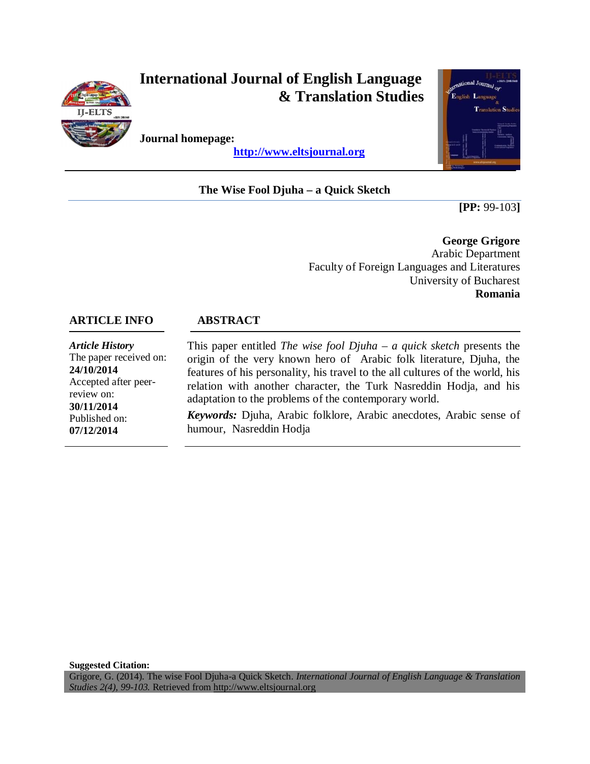

# **International Journal of English Language & Translation Studies**

**Journal homepage:**

 **http://www.eltsjournal.org**

# **The Wise Fool Djuha – a Quick Sketch**



**[PP:** 99-103**]**

**George Grigore** Arabic Department Faculty of Foreign Languages and Literatures University of Bucharest **Romania** 

## **ARTICLE INFO ABSTRACT**

*Article History* The paper received on: **24/10/2014** Accepted after peerreview on: **30/11/2014** Published on: **07/12/2014**

This paper entitled *The wise fool Djuha – a quick sketch* presents the origin of the very known hero of Arabic folk literature, Djuha, the features of his personality, his travel to the all cultures of the world, his relation with another character, the Turk Nasreddin Hodja, and his adaptation to the problems of the contemporary world.

*Keywords:* Djuha, Arabic folklore, Arabic anecdotes, Arabic sense of humour, Nasreddin Hodja

**Suggested Citation:**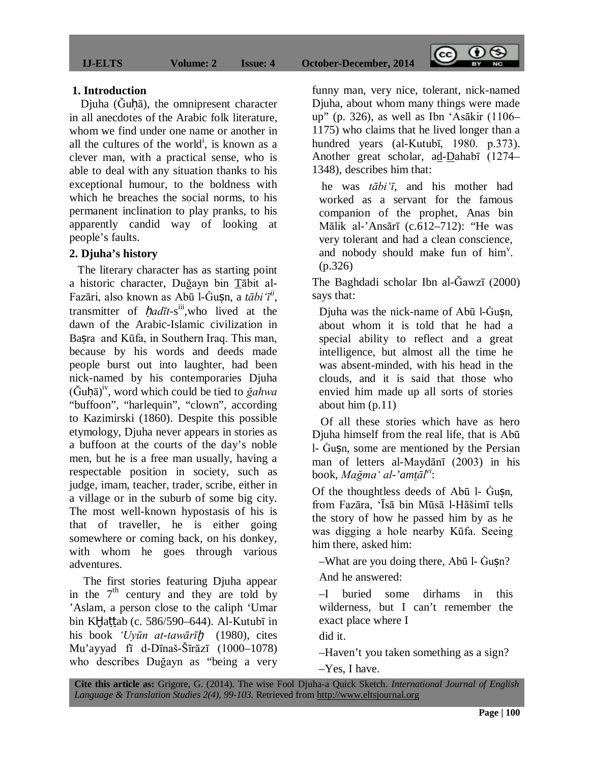**IJ-ELTS Volume: 2 Issue: 4 October-December, 2014** 

#### **1. Introduction**

Djuha (Guhā), the omnipresent character in all anecdotes of the Arabic folk literature, whom we find under one name or another in all the cultures of the world<sup>i</sup>, is known as a clever man, with a practical sense, who is able to deal with any situation thanks to his exceptional humour, to the boldness with which he breaches the social norms, to his permanent inclination to play pranks, to his apparently candid way of looking at people's faults.

#### **2. Djuha's history**

 The literary character has as starting point a historic character, Duğayn bin Tābit al-Fazāri, also known as Abū l-Ġuṣn, a *tābi'īii* , transmitter of *ḥadīt*-s iii,who lived at the dawn of the Arabic-Islamic civilization in Basra and Kūfa, in Southern Iraq. This man, because by his words and deeds made people burst out into laughter, had been nick-named by his contemporaries Djuha (Ğuḥā) iv, word which could be tied to *ğahwa* "buffoon", "harlequin", "clown", according to Kazimirski (1860). Despite this possible etymology, Djuha never appears in stories as a buffoon at the courts of the day's noble men, but he is a free man usually, having a respectable position in society, such as judge, imam, teacher, trader, scribe, either in a village or in the suburb of some big city. The most well-known hypostasis of his is that of traveller, he is either going somewhere or coming back, on his donkey, with whom he goes through various adventures.

 The first stories featuring Djuha appear in the  $7<sup>th</sup>$  century and they are told by 'Aslam, a person close to the caliph 'Umar bin KḪaṭṭab (c. 586/590–644). Al-Kutubī in his book *'Uyūn at-tawārīḫ* (1980), cites Mu'ayyad fī d-Dīnaš-Šīrāzī (1000–1078) who describes Duğayn as "being a very funny man, very nice, tolerant, nick-named Djuha, about whom many things were made up" (p. 326), as well as Ibn 'Asākir (1106– 1175) who claims that he lived longer than a hundred years (al-Kutubī, 1980. p.373). Another great scholar, ad-Dahabī (1274– 1348), describes him that:

 $\left(\overline{cc}\right)$ 

 $\odot$   $\odot$ 

he was *tābi'ī*, and his mother had worked as a servant for the famous companion of the prophet, Anas bin Mālik al-'Ansārī (c.612–712): "He was very tolerant and had a clean conscience, and nobody should make fun of him<sup>v</sup>. (p.326)

The Baghdadi scholar Ibn al-Ğawzī (2000) says that:

Djuha was the nick-name of Abū l-Gusn, about whom it is told that he had a special ability to reflect and a great intelligence, but almost all the time he was absent-minded, with his head in the clouds, and it is said that those who envied him made up all sorts of stories about him (p.11)

 Of all these stories which have as hero Djuha himself from the real life, that is Abū l- Ġuṣn, some are mentioned by the Persian man of letters al-Maydānī (2003) in his book, *Mağma' al-'amtālvi* :

Of the thoughtless deeds of Abū l- Gusn, from Fazāra, 'Īsā bin Mūsā l-Hāšimī tells the story of how he passed him by as he was digging a hole nearby Kūfa. Seeing him there, asked him:

–What are you doing there, Abū l- Ġuṣn?

And he answered:

–I buried some dirhams in this wilderness, but I can't remember the exact place where I

did it.

–Haven't you taken something as a sign?

–Yes, I have.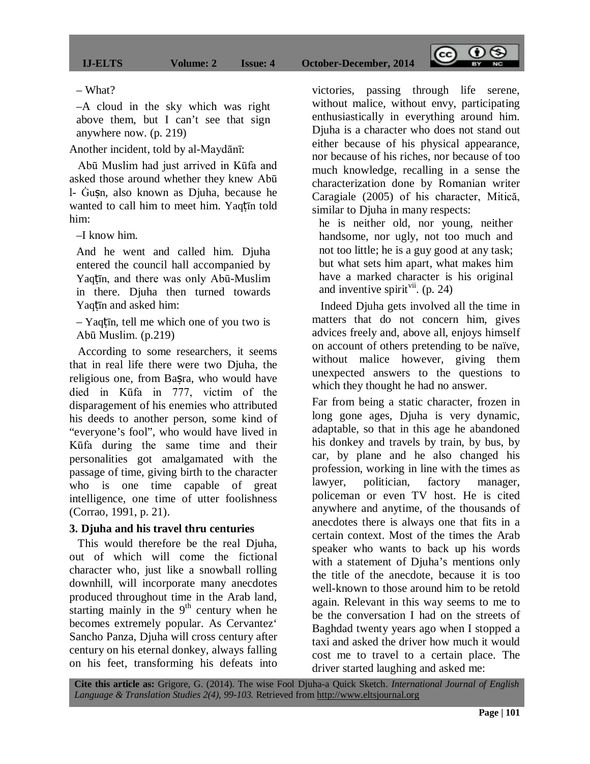– What?

–A cloud in the sky which was right above them, but I can't see that sign anywhere now. (p. 219)

Another incident, told by al-Maydānī:

 Abū Muslim had just arrived in Kūfa and asked those around whether they knew Abū l- Ġuṣn, also known as Djuha, because he wanted to call him to meet him. Yaqṭīn told him:

–I know him.

And he went and called him. Djuha entered the council hall accompanied by Yaqtīn, and there was only Abū-Muslim in there. Djuha then turned towards Yaqtīn and asked him:

– Yaqṭīn, tell me which one of you two is Abū Muslim. (p.219)

 According to some researchers, it seems that in real life there were two Djuha, the religious one, from Basra, who would have died in Kūfa in 777, victim of the disparagement of his enemies who attributed his deeds to another person, some kind of "everyone's fool", who would have lived in Kūfa during the same time and their personalities got amalgamated with the passage of time, giving birth to the character who is one time capable of great intelligence, one time of utter foolishness (Corrao, 1991, p. 21).

#### **3. Djuha and his travel thru centuries**

 This would therefore be the real Djuha, out of which will come the fictional character who, just like a snowball rolling downhill, will incorporate many anecdotes produced throughout time in the Arab land, starting mainly in the  $9<sup>th</sup>$  century when he becomes extremely popular. As Cervantez' Sancho Panza, Djuha will cross century after century on his eternal donkey, always falling on his feet, transforming his defeats into

victories, passing through life serene, without malice, without envy, participating enthusiastically in everything around him. Djuha is a character who does not stand out either because of his physical appearance, nor because of his riches, nor because of too much knowledge, recalling in a sense the characterization done by Romanian writer Caragiale (2005) of his character, Mitică, similar to Djuha in many respects:

 $\sqrt{cc}$ 

 $\Theta$ 

he is neither old, nor young, neither handsome, nor ugly, not too much and not too little; he is a guy good at any task; but what sets him apart, what makes him have a marked character is his original and inventive spirit<sup>vii</sup>. (p. 24)

 Indeed Djuha gets involved all the time in matters that do not concern him, gives advices freely and, above all, enjoys himself on account of others pretending to be naïve, without malice however, giving them unexpected answers to the questions to which they thought he had no answer.

Far from being a static character, frozen in long gone ages, Djuha is very dynamic, adaptable, so that in this age he abandoned his donkey and travels by train, by bus, by car, by plane and he also changed his profession, working in line with the times as lawyer, politician, factory manager, policeman or even TV host. He is cited anywhere and anytime, of the thousands of anecdotes there is always one that fits in a certain context. Most of the times the Arab speaker who wants to back up his words with a statement of Djuha's mentions only the title of the anecdote, because it is too well-known to those around him to be retold again. Relevant in this way seems to me to be the conversation I had on the streets of Baghdad twenty years ago when I stopped a taxi and asked the driver how much it would cost me to travel to a certain place. The driver started laughing and asked me: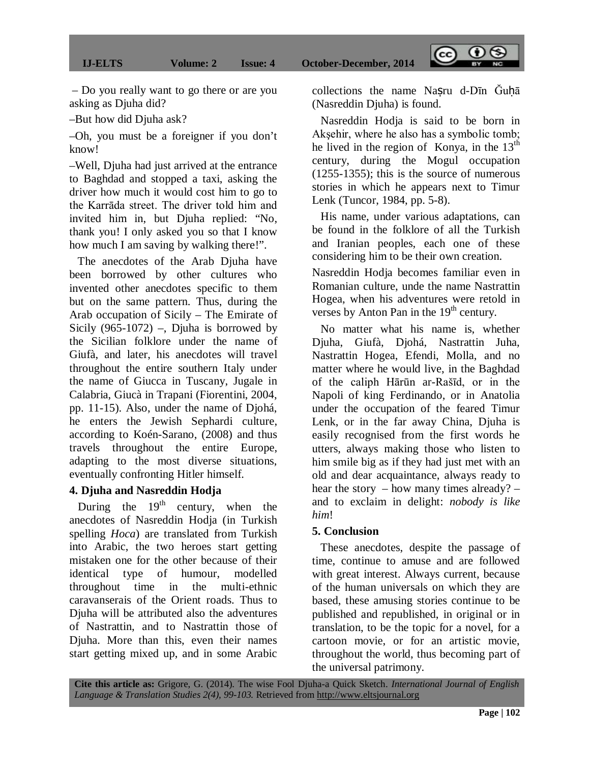– Do you really want to go there or are you asking as Djuha did?

–But how did Djuha ask?

–Oh, you must be a foreigner if you don't know!

–Well, Djuha had just arrived at the entrance to Baghdad and stopped a taxi, asking the driver how much it would cost him to go to the Karrāda street. The driver told him and invited him in, but Djuha replied: "No, thank you! I only asked you so that I know how much I am saving by walking there!".

 The anecdotes of the Arab Djuha have been borrowed by other cultures who invented other anecdotes specific to them but on the same pattern. Thus, during the Arab occupation of Sicily – The Emirate of Sicily  $(965-1072)$  –, Djuha is borrowed by the Sicilian folklore under the name of Giufà, and later, his anecdotes will travel throughout the entire southern Italy under the name of Giucca in Tuscany, Jugale in Calabria, Giucà in Trapani (Fiorentini, 2004, pp. 11-15). Also, under the name of Djohá, he enters the Jewish Sephardi culture, according to Koén-Sarano, (2008) and thus travels throughout the entire Europe, adapting to the most diverse situations, eventually confronting Hitler himself.

### **4. Djuha and Nasreddin Hodja**

During the  $19<sup>th</sup>$  century, when the anecdotes of Nasreddin Hodja (in Turkish spelling *Hoca*) are translated from Turkish into Arabic, the two heroes start getting mistaken one for the other because of their identical type of humour, modelled throughout time in the multi-ethnic caravanserais of the Orient roads. Thus to Djuha will be attributed also the adventures of Nastrattin, and to Nastrattin those of Djuha. More than this, even their names start getting mixed up, and in some Arabic collections the name Nasru d-Dīn Guhā (Nasreddin Djuha) is found.

 $\sqrt{cc}$ 

 $\Theta$ 

 Nasreddin Hodja is said to be born in Akşehir, where he also has a symbolic tomb; he lived in the region of Konya, in the  $13<sup>th</sup>$ century, during the Mogul occupation (1255-1355); this is the source of numerous stories in which he appears next to Timur Lenk (Tuncor, 1984, pp. 5-8).

 His name, under various adaptations, can be found in the folklore of all the Turkish and Iranian peoples, each one of these considering him to be their own creation.

Nasreddin Hodja becomes familiar even in Romanian culture, unde the name Nastrattin Hogea, when his adventures were retold in verses by Anton Pan in the  $19<sup>th</sup>$  century.

 No matter what his name is, whether Djuha, Giufà, Djohá, Nastrattin Juha, Nastrattin Hogea, Efendi, Molla, and no matter where he would live, in the Baghdad of the caliph Hārūn ar-Rašīd, or in the Napoli of king Ferdinando, or in Anatolia under the occupation of the feared Timur Lenk, or in the far away China, Djuha is easily recognised from the first words he utters, always making those who listen to him smile big as if they had just met with an old and dear acquaintance, always ready to hear the story – how many times already? – and to exclaim in delight: *nobody is like him*!

#### **5. Conclusion**

 These anecdotes, despite the passage of time, continue to amuse and are followed with great interest. Always current, because of the human universals on which they are based, these amusing stories continue to be published and republished, in original or in translation, to be the topic for a novel, for a cartoon movie, or for an artistic movie, throughout the world, thus becoming part of the universal patrimony.